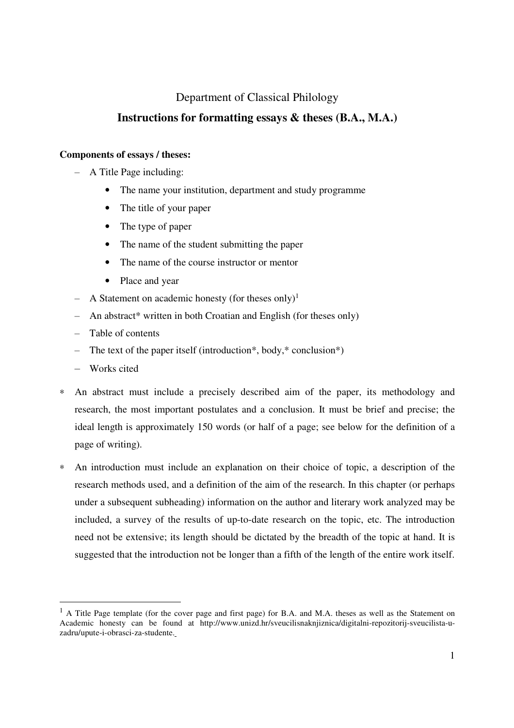# Department of Classical Philology

# **Instructions for formatting essays & theses (B.A., M.A.)**

# **Components of essays / theses:**

- ‒ A Title Page including:
	- The name your institution, department and study programme
	- The title of your paper
	- The type of paper
	- The name of the student submitting the paper
	- The name of the course instructor or mentor
	- Place and year
- A Statement on academic honesty (for theses only)<sup>1</sup>
- ‒ An abstract\* written in both Croatian and English (for theses only)
- ‒ Table of contents
- The text of the paper itself (introduction\*, body,\* conclusion\*)
- Works cited

 $\ddot{ }$ 

- ∗ An abstract must include a precisely described aim of the paper, its methodology and research, the most important postulates and a conclusion. It must be brief and precise; the ideal length is approximately 150 words (or half of a page; see below for the definition of a page of writing).
- ∗ An introduction must include an explanation on their choice of topic, a description of the research methods used, and a definition of the aim of the research. In this chapter (or perhaps under a subsequent subheading) information on the author and literary work analyzed may be included, a survey of the results of up-to-date research on the topic, etc. The introduction need not be extensive; its length should be dictated by the breadth of the topic at hand. It is suggested that the introduction not be longer than a fifth of the length of the entire work itself.

<sup>&</sup>lt;sup>1</sup> A Title Page template (for the cover page and first page) for B.A. and M.A. theses as well as the Statement on Academic honesty can be found at http://www.unizd.hr/sveucilisnaknjiznica/digitalni-repozitorij-sveucilista-uzadru/upute-i-obrasci-za-studente.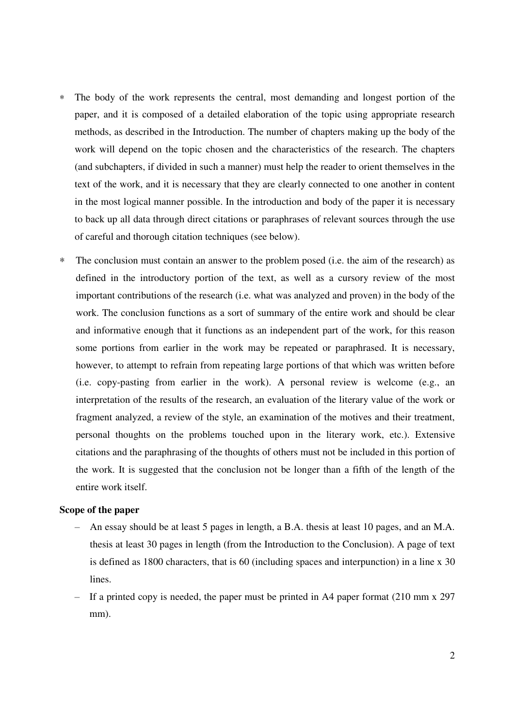- ∗ The body of the work represents the central, most demanding and longest portion of the paper, and it is composed of a detailed elaboration of the topic using appropriate research methods, as described in the Introduction. The number of chapters making up the body of the work will depend on the topic chosen and the characteristics of the research. The chapters (and subchapters, if divided in such a manner) must help the reader to orient themselves in the text of the work, and it is necessary that they are clearly connected to one another in content in the most logical manner possible. In the introduction and body of the paper it is necessary to back up all data through direct citations or paraphrases of relevant sources through the use of careful and thorough citation techniques (see below).
- ∗ The conclusion must contain an answer to the problem posed (i.e. the aim of the research) as defined in the introductory portion of the text, as well as a cursory review of the most important contributions of the research (i.e. what was analyzed and proven) in the body of the work. The conclusion functions as a sort of summary of the entire work and should be clear and informative enough that it functions as an independent part of the work, for this reason some portions from earlier in the work may be repeated or paraphrased. It is necessary, however, to attempt to refrain from repeating large portions of that which was written before (i.e. copy-pasting from earlier in the work). A personal review is welcome (e.g., an interpretation of the results of the research, an evaluation of the literary value of the work or fragment analyzed, a review of the style, an examination of the motives and their treatment, personal thoughts on the problems touched upon in the literary work, etc.). Extensive citations and the paraphrasing of the thoughts of others must not be included in this portion of the work. It is suggested that the conclusion not be longer than a fifth of the length of the entire work itself.

# **Scope of the paper**

- ‒ An essay should be at least 5 pages in length, a B.A. thesis at least 10 pages, and an M.A. thesis at least 30 pages in length (from the Introduction to the Conclusion). A page of text is defined as 1800 characters, that is 60 (including spaces and interpunction) in a line x 30 lines.
- If a printed copy is needed, the paper must be printed in A4 paper format  $(210 \text{ mm} \times 297)$ mm).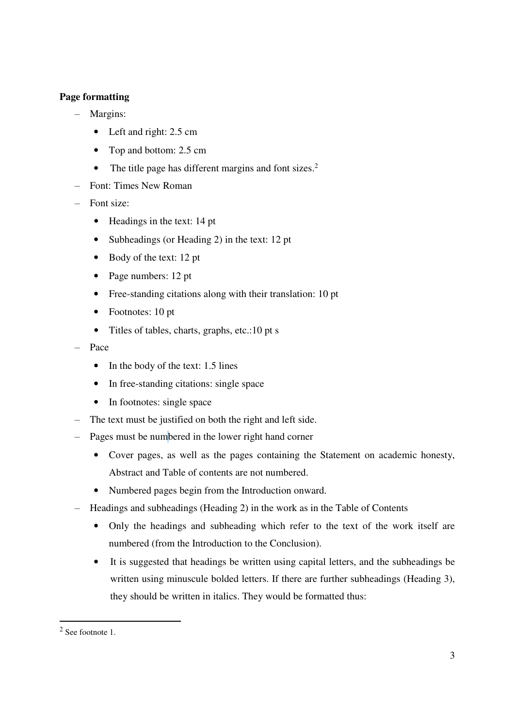# **Page formatting**

- Margins:
	- Left and right: 2.5 cm
	- Top and bottom: 2.5 cm
	- The title page has different margins and font sizes.<sup>2</sup>
- ‒ Font: Times New Roman
- Font size:
	- Headings in the text: 14 pt
	- Subheadings (or Heading 2) in the text: 12 pt
	- Body of the text: 12 pt
	- Page numbers: 12 pt
	- Free-standing citations along with their translation: 10 pt
	- Footnotes: 10 pt
	- Titles of tables, charts, graphs, etc.:10 pt s
- ‒ Pace
	- In the body of the text: 1.5 lines
	- In free-standing citations: single space
	- In footnotes: single space
- The text must be justified on both the right and left side.
- Pages must be numbered in the lower right hand corner
	- Cover pages, as well as the pages containing the Statement on academic honesty, Abstract and Table of contents are not numbered.
	- Numbered pages begin from the Introduction onward.
- ‒ Headings and subheadings (Heading 2) in the work as in the Table of Contents
	- Only the headings and subheading which refer to the text of the work itself are numbered (from the Introduction to the Conclusion).
	- It is suggested that headings be written using capital letters, and the subheadings be written using minuscule bolded letters. If there are further subheadings (Heading 3), they should be written in italics. They would be formatted thus:

 $\overline{a}$ 

 $2$  See footnote 1.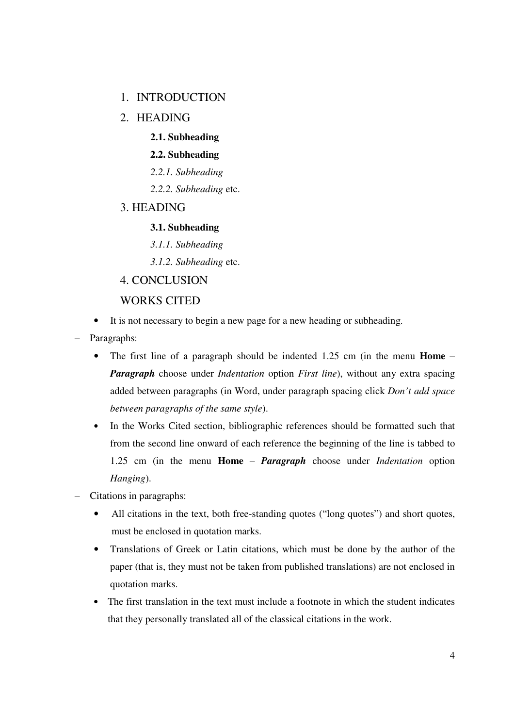# 1. INTRODUCTION

- 2. HEADING
	- **2.1. Subheading**

## **2.2. Subheading**

- *2.2.1. Subheading*
- *2.2.2. Subheading* etc.
- 3. HEADING

# **3.1. Subheading**

- *3.1.1. Subheading*
- *3.1.2. Subheading* etc.
- 4. CONCLUSION

# WORKS CITED

- It is not necessary to begin a new page for a new heading or subheading.
- Paragraphs:
	- The first line of a paragraph should be indented 1.25 cm (in the menu **Home** *Paragraph* choose under *Indentation* option *First line*), without any extra spacing added between paragraphs (in Word, under paragraph spacing click *Don't add space between paragraphs of the same style*).
	- In the Works Cited section, bibliographic references should be formatted such that from the second line onward of each reference the beginning of the line is tabbed to 1.25 cm (in the menu **Home** ‒ *Paragraph* choose under *Indentation* option *Hanging*).
- ‒ Citations in paragraphs:
	- All citations in the text, both free-standing quotes ("long quotes") and short quotes, must be enclosed in quotation marks.
	- Translations of Greek or Latin citations, which must be done by the author of the paper (that is, they must not be taken from published translations) are not enclosed in quotation marks.
	- The first translation in the text must include a footnote in which the student indicates that they personally translated all of the classical citations in the work.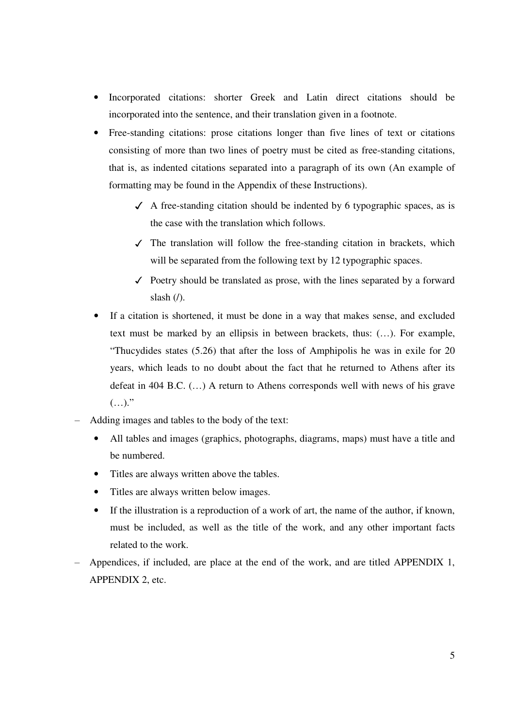- Incorporated citations: shorter Greek and Latin direct citations should be incorporated into the sentence, and their translation given in a footnote.
- Free-standing citations: prose citations longer than five lines of text or citations consisting of more than two lines of poetry must be cited as free-standing citations, that is, as indented citations separated into a paragraph of its own (An example of formatting may be found in the Appendix of these Instructions).
	- $\checkmark$  A free-standing citation should be indented by 6 typographic spaces, as is the case with the translation which follows.
	- $\checkmark$  The translation will follow the free-standing citation in brackets, which will be separated from the following text by 12 typographic spaces.
	- ✓ Poetry should be translated as prose, with the lines separated by a forward slash  $($  $)$ .
- If a citation is shortened, it must be done in a way that makes sense, and excluded text must be marked by an ellipsis in between brackets, thus: (…). For example, "Thucydides states (5.26) that after the loss of Amphipolis he was in exile for 20 years, which leads to no doubt about the fact that he returned to Athens after its defeat in 404 B.C. (…) A return to Athens corresponds well with news of his grave  $(\ldots)$ ."
- ‒ Adding images and tables to the body of the text:
	- All tables and images (graphics, photographs, diagrams, maps) must have a title and be numbered.
	- Titles are always written above the tables.
	- Titles are always written below images.
	- If the illustration is a reproduction of a work of art, the name of the author, if known, must be included, as well as the title of the work, and any other important facts related to the work.
- ‒ Appendices, if included, are place at the end of the work, and are titled APPENDIX 1, APPENDIX 2, etc.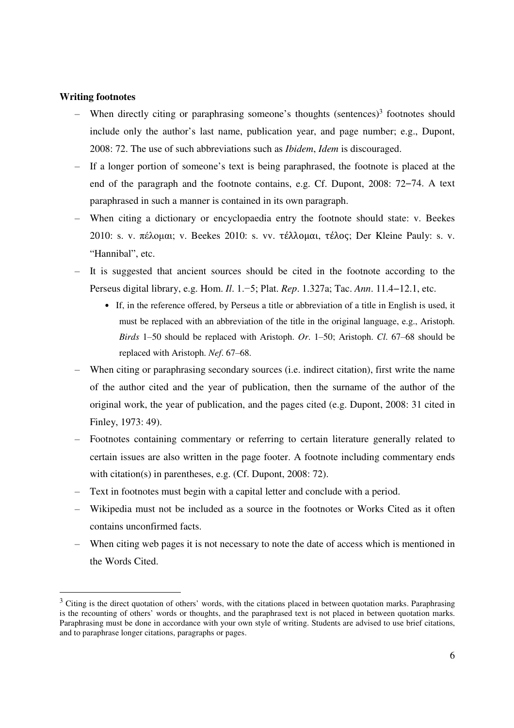### **Writing footnotes**

 $\overline{a}$ 

- When directly citing or paraphrasing someone's thoughts (sentences)<sup>3</sup> footnotes should include only the author's last name, publication year, and page number; e.g., Dupont, 2008: 72. The use of such abbreviations such as *Ibidem*, *Idem* is discouraged.
- ‒ If a longer portion of someone's text is being paraphrased, the footnote is placed at the end of the paragraph and the footnote contains, e.g. Cf. Dupont, 2008: 72−74. A text paraphrased in such a manner is contained in its own paragraph.
- ‒ When citing a dictionary or encyclopaedia entry the footnote should state: v. Beekes 2010: s. v. πέλομαι; v. Beekes 2010: s. vv. τέλλομαι, τέλος; Der Kleine Pauly: s. v. "Hannibal", etc.
- It is suggested that ancient sources should be cited in the footnote according to the Perseus digital library, e.g. Hom. *Il*. 1.−5; Plat. *Rep*. 1.327a; Tac. *Ann*. 11.4−12.1, etc.
	- If, in the reference offered, by Perseus a title or abbreviation of a title in English is used, it must be replaced with an abbreviation of the title in the original language, e.g., Aristoph. *Birds* 1‒50 should be replaced with Aristoph. *Or*. 1‒50; Aristoph. *Cl*. 67‒68 should be replaced with Aristoph. *Nef.* 67–68.
- ‒ When citing or paraphrasing secondary sources (i.e. indirect citation), first write the name of the author cited and the year of publication, then the surname of the author of the original work, the year of publication, and the pages cited (e.g. Dupont, 2008: 31 cited in Finley, 1973: 49).
- ‒ Footnotes containing commentary or referring to certain literature generally related to certain issues are also written in the page footer. A footnote including commentary ends with citation(s) in parentheses, e.g. (Cf. Dupont, 2008: 72).
- ‒ Text in footnotes must begin with a capital letter and conclude with a period.
- ‒ Wikipedia must not be included as a source in the footnotes or Works Cited as it often contains unconfirmed facts.
- ‒ When citing web pages it is not necessary to note the date of access which is mentioned in the Words Cited.

 $3$  Citing is the direct quotation of others' words, with the citations placed in between quotation marks. Paraphrasing is the recounting of others' words or thoughts, and the paraphrased text is not placed in between quotation marks. Paraphrasing must be done in accordance with your own style of writing. Students are advised to use brief citations, and to paraphrase longer citations, paragraphs or pages.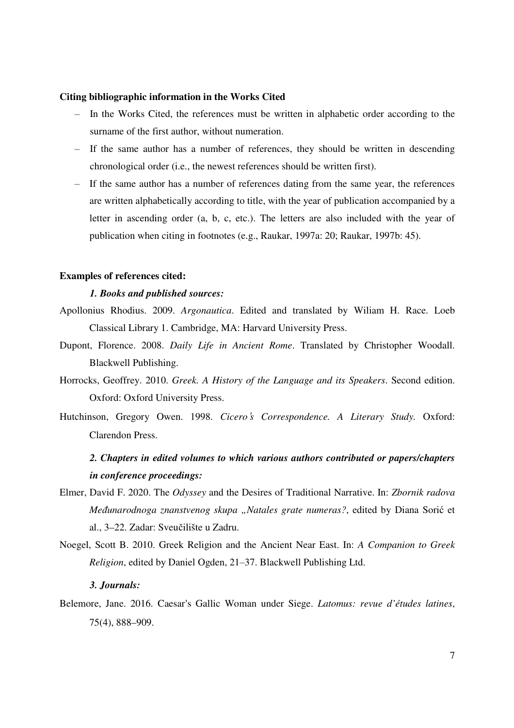#### **Citing bibliographic information in the Works Cited**

- ‒ In the Works Cited, the references must be written in alphabetic order according to the surname of the first author, without numeration.
- ‒ If the same author has a number of references, they should be written in descending chronological order (i.e., the newest references should be written first).
- ‒ If the same author has a number of references dating from the same year, the references are written alphabetically according to title, with the year of publication accompanied by a letter in ascending order (a, b, c, etc.). The letters are also included with the year of publication when citing in footnotes (e.g., Raukar, 1997a: 20; Raukar, 1997b: 45).

## **Examples of references cited:**

#### *1. Books and published sources:*

- Apollonius Rhodius. 2009. *Argonautica*. Edited and translated by Wiliam H. Race. Loeb Classical Library 1. Cambridge, MA: Harvard University Press.
- Dupont, Florence. 2008. *Daily Life in Ancient Rome*. Translated by Christopher Woodall. Blackwell Publishing.
- Horrocks, Geoffrey. 2010. *Greek. A History of the Language and its Speakers*. Second edition. Oxford: Oxford University Press.
- Hutchinson, Gregory Owen. 1998. *Cicero*'*s Correspondence. A Literary Study.* Oxford: Clarendon Press.

# *2. Chapters in edited volumes to which various authors contributed or papers/chapters in conference proceedings:*

- Elmer, David F. 2020. The *Odyssey* and the Desires of Traditional Narrative. In: *Zbornik radova Međunarodnoga znanstvenog skupa "Natales grate numeras?*, edited by Diana Sorić et al., 3–22. Zadar: Sveučilište u Zadru.
- Noegel, Scott B. 2010. Greek Religion and the Ancient Near East. In: *A Companion to Greek Religion*, edited by Daniel Ogden, 21-37. Blackwell Publishing Ltd.

#### *3. Journals:*

Belemore, Jane. 2016. Caesar's Gallic Woman under Siege. *Latomus: revue d'études latines*, 75(4), 888–909.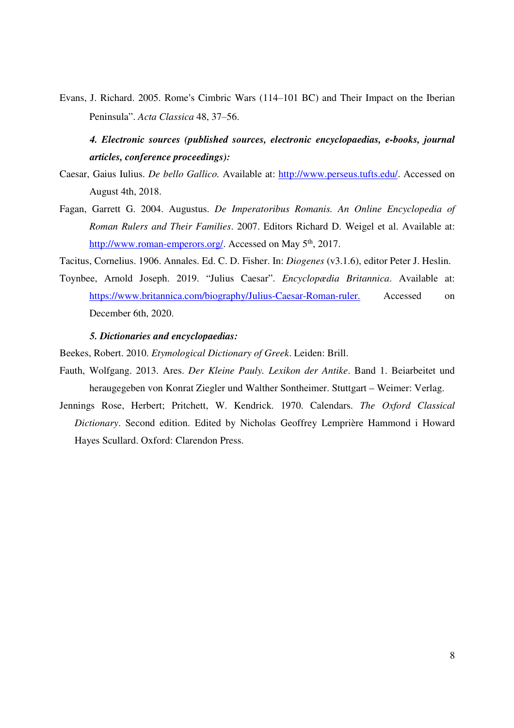Evans, J. Richard. 2005. Rome's Cimbric Wars (114‒101 BC) and Their Impact on the Iberian Peninsula". *Acta Classica* 48, 37–56.

# *4. Electronic sources (published sources, electronic encyclopaedias, e-books, journal articles, conference proceedings):*

- Caesar, Gaius Iulius. *De bello Gallico.* Available at: http://www.perseus.tufts.edu/. Accessed on August 4th, 2018.
- Fagan, Garrett G. 2004. Augustus. *De Imperatoribus Romanis. An Online Encyclopedia of Roman Rulers and Their Families*. 2007. Editors Richard D. Weigel et al. Available at: http://www.roman-emperors.org/. Accessed on May 5<sup>th</sup>, 2017.

Tacitus, Cornelius. 1906. Annales. Ed. C. D. Fisher. In: *Diogenes* (v3.1.6), editor Peter J. Heslin.

Toynbee, Arnold Joseph. 2019. "Julius Caesar". *Encyclopædia Britannica*. Available at: https://www.britannica.com/biography/Julius-Caesar-Roman-ruler. Accessed on December 6th, 2020.

## *5. Dictionaries and encyclopaedias:*

Beekes, Robert. 2010. *Etymological Dictionary of Greek*. Leiden: Brill.

- Fauth, Wolfgang. 2013. Ares. *Der Kleine Pauly. Lexikon der Antike*. Band 1. Beiarbeitet und heraugegeben von Konrat Ziegler und Walther Sontheimer. Stuttgart – Weimer: Verlag.
- Jennings Rose, Herbert; Pritchett, W. Kendrick. 1970. Calendars. *The Oxford Classical Dictionary*. Second edition. Edited by Nicholas Geoffrey Lemprière Hammond i Howard Hayes Scullard. Oxford: Clarendon Press.